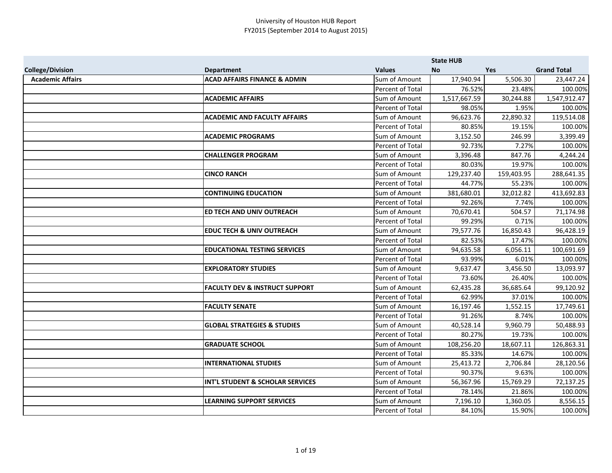|                         |                                           |                  | <b>State HUB</b> |            |                    |
|-------------------------|-------------------------------------------|------------------|------------------|------------|--------------------|
| <b>College/Division</b> | <b>Department</b>                         | <b>Values</b>    | <b>No</b>        | <b>Yes</b> | <b>Grand Total</b> |
| <b>Academic Affairs</b> | <b>ACAD AFFAIRS FINANCE &amp; ADMIN</b>   | Sum of Amount    | 17,940.94        | 5,506.30   | 23,447.24          |
|                         |                                           | Percent of Total | 76.52%           | 23.48%     | 100.00%            |
|                         | <b>ACADEMIC AFFAIRS</b>                   | Sum of Amount    | 1,517,667.59     | 30,244.88  | 1,547,912.47       |
|                         |                                           | Percent of Total | 98.05%           | 1.95%      | 100.00%            |
|                         | <b>ACADEMIC AND FACULTY AFFAIRS</b>       | Sum of Amount    | 96,623.76        | 22,890.32  | 119,514.08         |
|                         |                                           | Percent of Total | 80.85%           | 19.15%     | 100.00%            |
|                         | <b>ACADEMIC PROGRAMS</b>                  | Sum of Amount    | 3,152.50         | 246.99     | 3,399.49           |
|                         |                                           | Percent of Total | 92.73%           | 7.27%      | 100.00%            |
|                         | <b>CHALLENGER PROGRAM</b>                 | Sum of Amount    | 3,396.48         | 847.76     | 4,244.24           |
|                         |                                           | Percent of Total | 80.03%           | 19.97%     | 100.00%            |
|                         | <b>CINCO RANCH</b>                        | Sum of Amount    | 129,237.40       | 159,403.95 | 288,641.35         |
|                         |                                           | Percent of Total | 44.77%           | 55.23%     | 100.00%            |
|                         | <b>CONTINUING EDUCATION</b>               | Sum of Amount    | 381,680.01       | 32,012.82  | 413,692.83         |
|                         |                                           | Percent of Total | 92.26%           | 7.74%      | 100.00%            |
|                         | ED TECH AND UNIV OUTREACH                 | Sum of Amount    | 70,670.41        | 504.57     | 71,174.98          |
|                         |                                           | Percent of Total | 99.29%           | 0.71%      | 100.00%            |
|                         | <b>EDUC TECH &amp; UNIV OUTREACH</b>      | Sum of Amount    | 79,577.76        | 16,850.43  | 96,428.19          |
|                         |                                           | Percent of Total | 82.53%           | 17.47%     | 100.00%            |
|                         | <b>EDUCATIONAL TESTING SERVICES</b>       | Sum of Amount    | 94,635.58        | 6,056.11   | 100,691.69         |
|                         |                                           | Percent of Total | 93.99%           | 6.01%      | 100.00%            |
|                         | <b>EXPLORATORY STUDIES</b>                | Sum of Amount    | 9,637.47         | 3,456.50   | 13,093.97          |
|                         |                                           | Percent of Total | 73.60%           | 26.40%     | 100.00%            |
|                         | <b>FACULTY DEV &amp; INSTRUCT SUPPORT</b> | Sum of Amount    | 62,435.28        | 36,685.64  | 99,120.92          |
|                         |                                           | Percent of Total | 62.99%           | 37.01%     | 100.00%            |
|                         | <b>FACULTY SENATE</b>                     | Sum of Amount    | 16,197.46        | 1,552.15   | 17,749.61          |
|                         |                                           | Percent of Total | 91.26%           | 8.74%      | 100.00%            |
|                         | <b>GLOBAL STRATEGIES &amp; STUDIES</b>    | Sum of Amount    | 40,528.14        | 9,960.79   | 50,488.93          |
|                         |                                           | Percent of Total | 80.27%           | 19.73%     | 100.00%            |
|                         | <b>GRADUATE SCHOOL</b>                    | Sum of Amount    | 108,256.20       | 18,607.11  | 126,863.31         |
|                         |                                           | Percent of Total | 85.33%           | 14.67%     | 100.00%            |
|                         | <b>INTERNATIONAL STUDIES</b>              | Sum of Amount    | 25,413.72        | 2,706.84   | 28,120.56          |
|                         |                                           | Percent of Total | 90.37%           | 9.63%      | 100.00%            |
|                         | INT'L STUDENT & SCHOLAR SERVICES          | Sum of Amount    | 56,367.96        | 15,769.29  | 72,137.25          |
|                         |                                           | Percent of Total | 78.14%           | 21.86%     | 100.00%            |
|                         | <b>LEARNING SUPPORT SERVICES</b>          | Sum of Amount    | 7,196.10         | 1,360.05   | 8,556.15           |
|                         |                                           | Percent of Total | 84.10%           | 15.90%     | 100.00%            |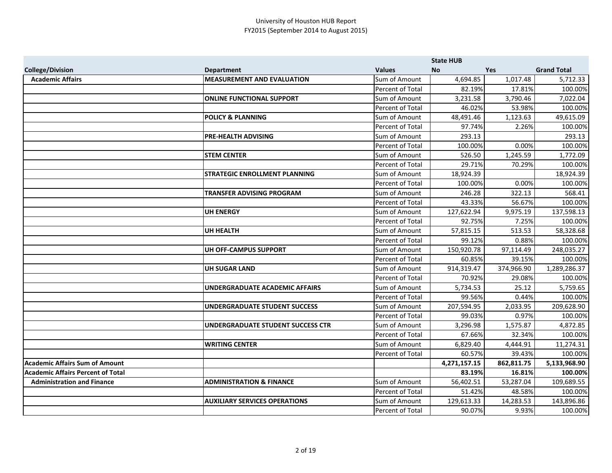|                                          |                                          |                  | <b>State HUB</b> |            |                    |
|------------------------------------------|------------------------------------------|------------------|------------------|------------|--------------------|
| <b>College/Division</b>                  | <b>Department</b>                        | <b>Values</b>    | <b>No</b>        | <b>Yes</b> | <b>Grand Total</b> |
| <b>Academic Affairs</b>                  | <b>MEASUREMENT AND EVALUATION</b>        | Sum of Amount    | 4,694.85         | 1,017.48   | 5,712.33           |
|                                          |                                          | Percent of Total | 82.19%           | 17.81%     | 100.00%            |
|                                          | <b>ONLINE FUNCTIONAL SUPPORT</b>         | Sum of Amount    | 3,231.58         | 3,790.46   | 7,022.04           |
|                                          |                                          | Percent of Total | 46.02%           | 53.98%     | 100.00%            |
|                                          | <b>POLICY &amp; PLANNING</b>             | Sum of Amount    | 48,491.46        | 1,123.63   | 49,615.09          |
|                                          |                                          | Percent of Total | 97.74%           | 2.26%      | 100.00%            |
|                                          | <b>PRE-HEALTH ADVISING</b>               | Sum of Amount    | 293.13           |            | 293.13             |
|                                          |                                          | Percent of Total | 100.00%          | 0.00%      | 100.00%            |
|                                          | <b>STEM CENTER</b>                       | Sum of Amount    | 526.50           | 1,245.59   | 1,772.09           |
|                                          |                                          | Percent of Total | 29.71%           | 70.29%     | 100.00%            |
|                                          | <b>STRATEGIC ENROLLMENT PLANNING</b>     | Sum of Amount    | 18,924.39        |            | 18,924.39          |
|                                          |                                          | Percent of Total | 100.00%          | 0.00%      | 100.00%            |
|                                          | <b>TRANSFER ADVISING PROGRAM</b>         | Sum of Amount    | 246.28           | 322.13     | 568.41             |
|                                          |                                          | Percent of Total | 43.33%           | 56.67%     | 100.00%            |
|                                          | <b>UH ENERGY</b>                         | Sum of Amount    | 127,622.94       | 9,975.19   | 137,598.13         |
|                                          |                                          | Percent of Total | 92.75%           | 7.25%      | 100.00%            |
|                                          | <b>UH HEALTH</b>                         | Sum of Amount    | 57,815.15        | 513.53     | 58,328.68          |
|                                          |                                          | Percent of Total | 99.12%           | 0.88%      | 100.00%            |
|                                          | UH OFF-CAMPUS SUPPORT                    | Sum of Amount    | 150,920.78       | 97,114.49  | 248,035.27         |
|                                          |                                          | Percent of Total | 60.85%           | 39.15%     | 100.00%            |
|                                          | <b>UH SUGAR LAND</b>                     | Sum of Amount    | 914,319.47       | 374,966.90 | 1,289,286.37       |
|                                          |                                          | Percent of Total | 70.92%           | 29.08%     | 100.00%            |
|                                          | <b>UNDERGRADUATE ACADEMIC AFFAIRS</b>    | Sum of Amount    | 5,734.53         | 25.12      | 5,759.65           |
|                                          |                                          | Percent of Total | 99.56%           | 0.44%      | 100.00%            |
|                                          | <b>UNDERGRADUATE STUDENT SUCCESS</b>     | Sum of Amount    | 207,594.95       | 2,033.95   | 209,628.90         |
|                                          |                                          | Percent of Total | 99.03%           | 0.97%      | 100.00%            |
|                                          | <b>UNDERGRADUATE STUDENT SUCCESS CTR</b> | Sum of Amount    | 3,296.98         | 1,575.87   | 4,872.85           |
|                                          |                                          | Percent of Total | 67.66%           | 32.34%     | 100.00%            |
|                                          | <b>WRITING CENTER</b>                    | Sum of Amount    | 6,829.40         | 4,444.91   | 11,274.31          |
|                                          |                                          | Percent of Total | 60.57%           | 39.43%     | 100.00%            |
| Academic Affairs Sum of Amount           |                                          |                  | 4,271,157.15     | 862,811.75 | 5,133,968.90       |
| <b>Academic Affairs Percent of Total</b> |                                          |                  | 83.19%           | 16.81%     | 100.00%            |
| <b>Administration and Finance</b>        | <b>ADMINISTRATION &amp; FINANCE</b>      | Sum of Amount    | 56,402.51        | 53,287.04  | 109,689.55         |
|                                          |                                          | Percent of Total | 51.42%           | 48.58%     | 100.00%            |
|                                          | <b>AUXILIARY SERVICES OPERATIONS</b>     | Sum of Amount    | 129,613.33       | 14,283.53  | 143,896.86         |
|                                          |                                          | Percent of Total | 90.07%           | 9.93%      | 100.00%            |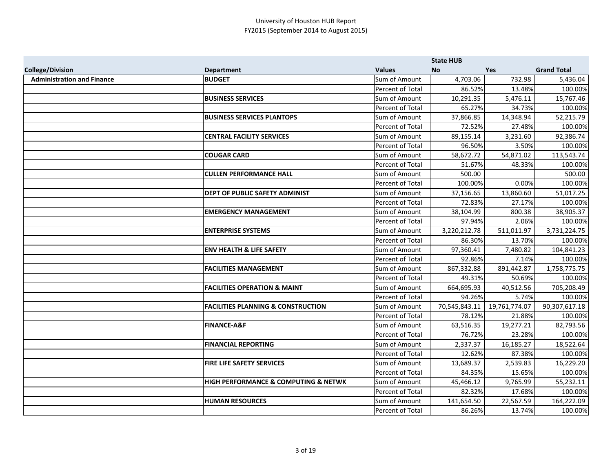|                                   |                                                     |                      | <b>State HUB</b> |               |                    |
|-----------------------------------|-----------------------------------------------------|----------------------|------------------|---------------|--------------------|
| <b>College/Division</b>           | <b>Department</b>                                   | <b>Values</b>        | <b>No</b>        | Yes           | <b>Grand Total</b> |
| <b>Administration and Finance</b> | <b>BUDGET</b>                                       | Sum of Amount        | 4,703.06         | 732.98        | 5,436.04           |
|                                   |                                                     | Percent of Total     | 86.52%           | 13.48%        | 100.00%            |
|                                   | <b>BUSINESS SERVICES</b>                            | Sum of Amount        | 10,291.35        | 5,476.11      | 15,767.46          |
|                                   |                                                     | Percent of Total     | 65.27%           | 34.73%        | 100.00%            |
|                                   | <b>BUSINESS SERVICES PLANTOPS</b>                   | Sum of Amount        | 37,866.85        | 14,348.94     | 52,215.79          |
|                                   |                                                     | Percent of Total     | 72.52%           | 27.48%        | 100.00%            |
|                                   | <b>CENTRAL FACILITY SERVICES</b>                    | Sum of Amount        | 89,155.14        | 3,231.60      | 92,386.74          |
|                                   |                                                     | Percent of Total     | 96.50%           | 3.50%         | 100.00%            |
|                                   | <b>COUGAR CARD</b>                                  | Sum of Amount        | 58,672.72        | 54,871.02     | 113,543.74         |
|                                   |                                                     | Percent of Total     | 51.67%           | 48.33%        | 100.00%            |
|                                   | <b>CULLEN PERFORMANCE HALL</b>                      | Sum of Amount        | 500.00           |               | 500.00             |
|                                   |                                                     | Percent of Total     | 100.00%          | 0.00%         | 100.00%            |
|                                   | <b>DEPT OF PUBLIC SAFETY ADMINIST</b>               | Sum of Amount        | 37,156.65        | 13,860.60     | 51,017.25          |
|                                   |                                                     | Percent of Total     | 72.83%           | 27.17%        | 100.00%            |
|                                   | <b>EMERGENCY MANAGEMENT</b>                         | Sum of Amount        | 38,104.99        | 800.38        | 38,905.37          |
|                                   |                                                     | Percent of Total     | 97.94%           | 2.06%         | 100.00%            |
|                                   | <b>ENTERPRISE SYSTEMS</b>                           | Sum of Amount        | 3,220,212.78     | 511,011.97    | 3,731,224.75       |
|                                   |                                                     | Percent of Total     | 86.30%           | 13.70%        | 100.00%            |
|                                   | <b>ENV HEALTH &amp; LIFE SAFETY</b>                 | Sum of Amount        | 97,360.41        | 7,480.82      | 104,841.23         |
|                                   |                                                     | Percent of Total     | 92.86%           | 7.14%         | 100.00%            |
|                                   | <b>FACILITIES MANAGEMENT</b>                        | Sum of Amount        | 867,332.88       | 891,442.87    | 1,758,775.75       |
|                                   |                                                     | Percent of Total     | 49.31%           | 50.69%        | 100.00%            |
|                                   | <b>FACILITIES OPERATION &amp; MAINT</b>             | Sum of Amount        | 664,695.93       | 40,512.56     | 705,208.49         |
|                                   |                                                     | Percent of Total     | 94.26%           | 5.74%         | 100.00%            |
|                                   | <b>FACILITIES PLANNING &amp; CONSTRUCTION</b>       | <b>Sum of Amount</b> | 70,545,843.11    | 19,761,774.07 | 90,307,617.18      |
|                                   |                                                     | Percent of Total     | 78.12%           | 21.88%        | 100.00%            |
|                                   | <b>FINANCE-A&amp;F</b>                              | Sum of Amount        | 63,516.35        | 19,277.21     | 82,793.56          |
|                                   |                                                     | Percent of Total     | 76.72%           | 23.28%        | 100.00%            |
|                                   | <b>FINANCIAL REPORTING</b>                          | Sum of Amount        | 2,337.37         | 16,185.27     | 18,522.64          |
|                                   |                                                     | Percent of Total     | 12.62%           | 87.38%        | 100.00%            |
|                                   | <b>FIRE LIFE SAFETY SERVICES</b>                    | Sum of Amount        | 13,689.37        | 2,539.83      | 16,229.20          |
|                                   |                                                     | Percent of Total     | 84.35%           | 15.65%        | 100.00%            |
|                                   | <b>HIGH PERFORMANCE &amp; COMPUTING &amp; NETWK</b> | Sum of Amount        | 45,466.12        | 9,765.99      | 55,232.11          |
|                                   |                                                     | Percent of Total     | 82.32%           | 17.68%        | 100.00%            |
|                                   | <b>HUMAN RESOURCES</b>                              | Sum of Amount        | 141,654.50       | 22,567.59     | 164,222.09         |
|                                   |                                                     | Percent of Total     | 86.26%           | 13.74%        | 100.00%            |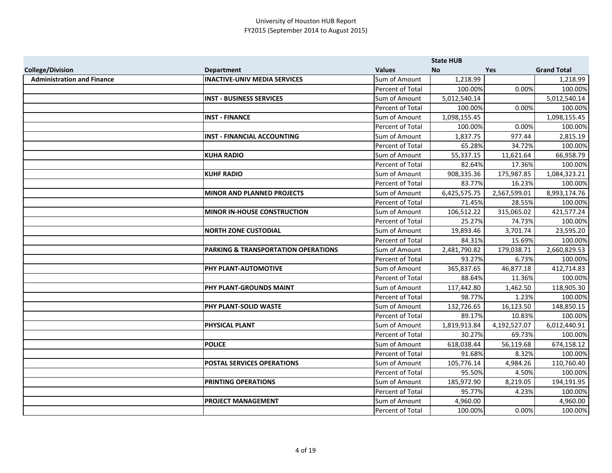|                                   |                                                |                  | <b>State HUB</b> |              |                    |
|-----------------------------------|------------------------------------------------|------------------|------------------|--------------|--------------------|
| <b>College/Division</b>           | <b>Department</b>                              | <b>Values</b>    | <b>No</b>        | Yes          | <b>Grand Total</b> |
| <b>Administration and Finance</b> | <b>INACTIVE-UNIV MEDIA SERVICES</b>            | Sum of Amount    | 1,218.99         |              | 1,218.99           |
|                                   |                                                | Percent of Total | 100.00%          | 0.00%        | 100.00%            |
|                                   | <b>INST - BUSINESS SERVICES</b>                | Sum of Amount    | 5,012,540.14     |              | 5,012,540.14       |
|                                   |                                                | Percent of Total | 100.00%          | 0.00%        | 100.00%            |
|                                   | <b>INST - FINANCE</b>                          | Sum of Amount    | 1,098,155.45     |              | 1,098,155.45       |
|                                   |                                                | Percent of Total | 100.00%          | 0.00%        | 100.00%            |
|                                   | <b>INST - FINANCIAL ACCOUNTING</b>             | Sum of Amount    | 1,837.75         | 977.44       | 2,815.19           |
|                                   |                                                | Percent of Total | 65.28%           | 34.72%       | 100.00%            |
|                                   | <b>KUHA RADIO</b>                              | Sum of Amount    | 55,337.15        | 11,621.64    | 66,958.79          |
|                                   |                                                | Percent of Total | 82.64%           | 17.36%       | 100.00%            |
|                                   | <b>KUHF RADIO</b>                              | Sum of Amount    | 908,335.36       | 175,987.85   | 1,084,323.21       |
|                                   |                                                | Percent of Total | 83.77%           | 16.23%       | 100.00%            |
|                                   | <b>MINOR AND PLANNED PROJECTS</b>              | Sum of Amount    | 6,425,575.75     | 2,567,599.01 | 8,993,174.76       |
|                                   |                                                | Percent of Total | 71.45%           | 28.55%       | 100.00%            |
|                                   | <b>MINOR IN-HOUSE CONSTRUCTION</b>             | Sum of Amount    | 106,512.22       | 315,065.02   | 421,577.24         |
|                                   |                                                | Percent of Total | 25.27%           | 74.73%       | 100.00%            |
|                                   | <b>NORTH ZONE CUSTODIAL</b>                    | Sum of Amount    | 19,893.46        | 3,701.74     | 23,595.20          |
|                                   |                                                | Percent of Total | 84.31%           | 15.69%       | 100.00%            |
|                                   | <b>PARKING &amp; TRANSPORTATION OPERATIONS</b> | Sum of Amount    | 2,481,790.82     | 179,038.71   | 2,660,829.53       |
|                                   |                                                | Percent of Total | 93.27%           | 6.73%        | 100.00%            |
|                                   | PHY PLANT-AUTOMOTIVE                           | Sum of Amount    | 365,837.65       | 46,877.18    | 412,714.83         |
|                                   |                                                | Percent of Total | 88.64%           | 11.36%       | 100.00%            |
|                                   | PHY PLANT-GROUNDS MAINT                        | Sum of Amount    | 117,442.80       | 1,462.50     | 118,905.30         |
|                                   |                                                | Percent of Total | 98.77%           | 1.23%        | 100.00%            |
|                                   | PHY PLANT-SOLID WASTE                          | Sum of Amount    | 132,726.65       | 16,123.50    | 148,850.15         |
|                                   |                                                | Percent of Total | 89.17%           | 10.83%       | 100.00%            |
|                                   | PHYSICAL PLANT                                 | Sum of Amount    | 1,819,913.84     | 4,192,527.07 | 6,012,440.91       |
|                                   |                                                | Percent of Total | 30.27%           | 69.73%       | 100.00%            |
|                                   | <b>POLICE</b>                                  | Sum of Amount    | 618,038.44       | 56,119.68    | 674,158.12         |
|                                   |                                                | Percent of Total | 91.68%           | 8.32%        | 100.00%            |
|                                   | POSTAL SERVICES OPERATIONS                     | Sum of Amount    | 105,776.14       | 4,984.26     | 110,760.40         |
|                                   |                                                | Percent of Total | 95.50%           | 4.50%        | 100.00%            |
|                                   | PRINTING OPERATIONS                            | Sum of Amount    | 185,972.90       | 8,219.05     | 194,191.95         |
|                                   |                                                | Percent of Total | 95.77%           | 4.23%        | 100.00%            |
|                                   | <b>PROJECT MANAGEMENT</b>                      | Sum of Amount    | 4,960.00         |              | 4,960.00           |
|                                   |                                                | Percent of Total | 100.00%          | 0.00%        | 100.00%            |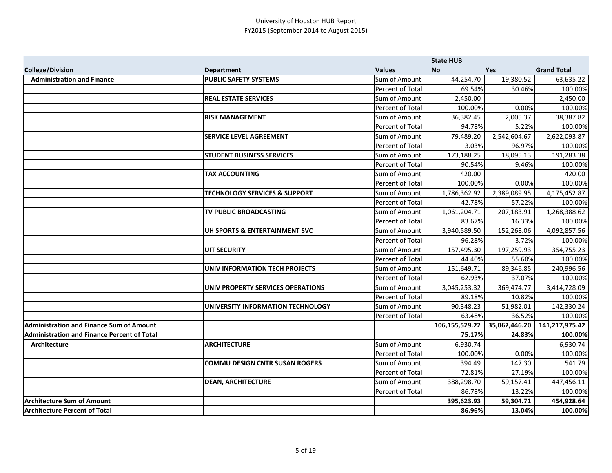|                                                    |                                          |                         | <b>State HUB</b> |               |                    |
|----------------------------------------------------|------------------------------------------|-------------------------|------------------|---------------|--------------------|
| <b>College/Division</b>                            | <b>Department</b>                        | <b>Values</b>           | <b>No</b>        | <b>Yes</b>    | <b>Grand Total</b> |
| <b>Administration and Finance</b>                  | <b>PUBLIC SAFETY SYSTEMS</b>             | Sum of Amount           | 44,254.70        | 19,380.52     | 63,635.22          |
|                                                    |                                          | Percent of Total        | 69.54%           | 30.46%        | 100.00%            |
|                                                    | <b>REAL ESTATE SERVICES</b>              | Sum of Amount           | 2,450.00         |               | 2,450.00           |
|                                                    |                                          | Percent of Total        | 100.00%          | 0.00%         | 100.00%            |
|                                                    | <b>RISK MANAGEMENT</b>                   | Sum of Amount           | 36,382.45        | 2,005.37      | 38,387.82          |
|                                                    |                                          | Percent of Total        | 94.78%           | 5.22%         | 100.00%            |
|                                                    | <b>SERVICE LEVEL AGREEMENT</b>           | Sum of Amount           | 79,489.20        | 2,542,604.67  | 2,622,093.87       |
|                                                    |                                          | Percent of Total        | 3.03%            | 96.97%        | 100.00%            |
|                                                    | <b>STUDENT BUSINESS SERVICES</b>         | Sum of Amount           | 173,188.25       | 18,095.13     | 191,283.38         |
|                                                    |                                          | Percent of Total        | 90.54%           | 9.46%         | 100.00%            |
|                                                    | <b>TAX ACCOUNTING</b>                    | Sum of Amount           | 420.00           |               | 420.00             |
|                                                    |                                          | Percent of Total        | 100.00%          | 0.00%         | 100.00%            |
|                                                    | <b>TECHNOLOGY SERVICES &amp; SUPPORT</b> | Sum of Amount           | 1,786,362.92     | 2,389,089.95  | 4,175,452.87       |
|                                                    |                                          | Percent of Total        | 42.78%           | 57.22%        | 100.00%            |
|                                                    | TV PUBLIC BROADCASTING                   | Sum of Amount           | 1,061,204.71     | 207,183.91    | 1,268,388.62       |
|                                                    |                                          | Percent of Total        | 83.67%           | 16.33%        | 100.00%            |
|                                                    | UH SPORTS & ENTERTAINMENT SVC            | Sum of Amount           | 3,940,589.50     | 152,268.06    | 4,092,857.56       |
|                                                    |                                          | Percent of Total        | 96.28%           | 3.72%         | 100.00%            |
|                                                    | <b>UIT SECURITY</b>                      | Sum of Amount           | 157,495.30       | 197,259.93    | 354,755.23         |
|                                                    |                                          | <b>Percent of Total</b> | 44.40%           | 55.60%        | 100.00%            |
|                                                    | <b>UNIV INFORMATION TECH PROJECTS</b>    | Sum of Amount           | 151,649.71       | 89,346.85     | 240,996.56         |
|                                                    |                                          | Percent of Total        | 62.93%           | 37.07%        | 100.00%            |
|                                                    | UNIV PROPERTY SERVICES OPERATIONS        | Sum of Amount           | 3,045,253.32     | 369,474.77    | 3,414,728.09       |
|                                                    |                                          | Percent of Total        | 89.18%           | 10.82%        | 100.00%            |
|                                                    | UNIVERSITY INFORMATION TECHNOLOGY        | Sum of Amount           | 90,348.23        | 51,982.01     | 142,330.24         |
|                                                    |                                          | Percent of Total        | 63.48%           | 36.52%        | 100.00%            |
| <b>Administration and Finance Sum of Amount</b>    |                                          |                         | 106,155,529.22   | 35,062,446.20 | 141,217,975.42     |
| <b>Administration and Finance Percent of Total</b> |                                          |                         | 75.17%           | 24.83%        | 100.00%            |
| Architecture                                       | <b>ARCHITECTURE</b>                      | Sum of Amount           | 6,930.74         |               | 6,930.74           |
|                                                    |                                          | Percent of Total        | 100.00%          | 0.00%         | 100.00%            |
|                                                    | <b>COMMU DESIGN CNTR SUSAN ROGERS</b>    | Sum of Amount           | 394.49           | 147.30        | 541.79             |
|                                                    |                                          | Percent of Total        | 72.81%           | 27.19%        | 100.00%            |
|                                                    | <b>DEAN, ARCHITECTURE</b>                | Sum of Amount           | 388,298.70       | 59,157.41     | 447,456.11         |
|                                                    |                                          | Percent of Total        | 86.78%           | 13.22%        | 100.00%            |
| <b>Architecture Sum of Amount</b>                  |                                          |                         | 395,623.93       | 59,304.71     | 454,928.64         |
| <b>Architecture Percent of Total</b>               |                                          |                         | 86.96%           | 13.04%        | 100.00%            |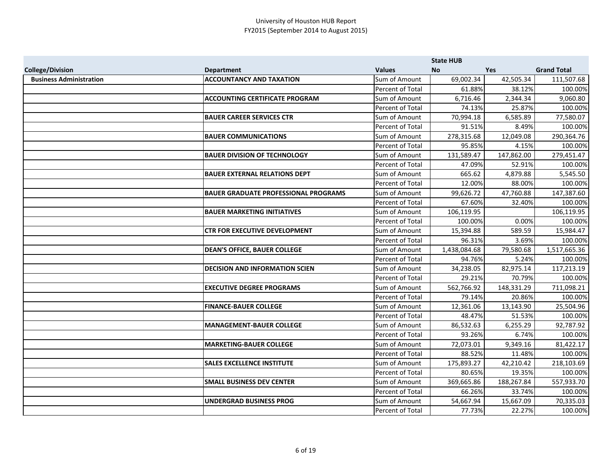|                                |                                             |                  | <b>State HUB</b> |            |                    |
|--------------------------------|---------------------------------------------|------------------|------------------|------------|--------------------|
| <b>College/Division</b>        | <b>Department</b>                           | <b>Values</b>    | <b>No</b>        | <b>Yes</b> | <b>Grand Total</b> |
| <b>Business Administration</b> | <b>ACCOUNTANCY AND TAXATION</b>             | Sum of Amount    | 69,002.34        | 42,505.34  | 111,507.68         |
|                                |                                             | Percent of Total | 61.88%           | 38.12%     | 100.00%            |
|                                | <b>ACCOUNTING CERTIFICATE PROGRAM</b>       | Sum of Amount    | 6,716.46         | 2,344.34   | 9,060.80           |
|                                |                                             | Percent of Total | 74.13%           | 25.87%     | 100.00%            |
|                                | <b>BAUER CAREER SERVICES CTR</b>            | Sum of Amount    | 70,994.18        | 6,585.89   | 77,580.07          |
|                                |                                             | Percent of Total | 91.51%           | 8.49%      | 100.00%            |
|                                | <b>BAUER COMMUNICATIONS</b>                 | Sum of Amount    | 278,315.68       | 12,049.08  | 290,364.76         |
|                                |                                             | Percent of Total | 95.85%           | 4.15%      | 100.00%            |
|                                | <b>BAUER DIVISION OF TECHNOLOGY</b>         | Sum of Amount    | 131,589.47       | 147,862.00 | 279,451.47         |
|                                |                                             | Percent of Total | 47.09%           | 52.91%     | 100.00%            |
|                                | <b>BAUER EXTERNAL RELATIONS DEPT</b>        | Sum of Amount    | 665.62           | 4,879.88   | 5,545.50           |
|                                |                                             | Percent of Total | 12.00%           | 88.00%     | 100.00%            |
|                                | <b>BAUER GRADUATE PROFESSIONAL PROGRAMS</b> | Sum of Amount    | 99,626.72        | 47,760.88  | 147,387.60         |
|                                |                                             | Percent of Total | 67.60%           | 32.40%     | 100.00%            |
|                                | <b>BAUER MARKETING INITIATIVES</b>          | Sum of Amount    | 106,119.95       |            | 106,119.95         |
|                                |                                             | Percent of Total | 100.00%          | 0.00%      | 100.00%            |
|                                | <b>CTR FOR EXECUTIVE DEVELOPMENT</b>        | Sum of Amount    | 15,394.88        | 589.59     | 15,984.47          |
|                                |                                             | Percent of Total | 96.31%           | 3.69%      | 100.00%            |
|                                | <b>DEAN'S OFFICE, BAUER COLLEGE</b>         | Sum of Amount    | 1,438,084.68     | 79,580.68  | 1,517,665.36       |
|                                |                                             | Percent of Total | 94.76%           | 5.24%      | 100.00%            |
|                                | <b>DECISION AND INFORMATION SCIEN</b>       | Sum of Amount    | 34,238.05        | 82,975.14  | 117,213.19         |
|                                |                                             | Percent of Total | 29.21%           | 70.79%     | 100.00%            |
|                                | <b>EXECUTIVE DEGREE PROGRAMS</b>            | Sum of Amount    | 562,766.92       | 148,331.29 | 711,098.21         |
|                                |                                             | Percent of Total | 79.14%           | 20.86%     | 100.00%            |
|                                | <b>FINANCE-BAUER COLLEGE</b>                | Sum of Amount    | 12,361.06        | 13,143.90  | 25,504.96          |
|                                |                                             | Percent of Total | 48.47%           | 51.53%     | 100.00%            |
|                                | <b>MANAGEMENT-BAUER COLLEGE</b>             | Sum of Amount    | 86,532.63        | 6,255.29   | 92,787.92          |
|                                |                                             | Percent of Total | 93.26%           | 6.74%      | 100.00%            |
|                                | <b>MARKETING-BAUER COLLEGE</b>              | Sum of Amount    | 72,073.01        | 9,349.16   | 81,422.17          |
|                                |                                             | Percent of Total | 88.52%           | 11.48%     | 100.00%            |
|                                | <b>SALES EXCELLENCE INSTITUTE</b>           | Sum of Amount    | 175,893.27       | 42,210.42  | 218,103.69         |
|                                |                                             | Percent of Total | 80.65%           | 19.35%     | 100.00%            |
|                                | <b>SMALL BUSINESS DEV CENTER</b>            | Sum of Amount    | 369,665.86       | 188,267.84 | 557,933.70         |
|                                |                                             | Percent of Total | 66.26%           | 33.74%     | 100.00%            |
|                                | <b>UNDERGRAD BUSINESS PROG</b>              | Sum of Amount    | 54,667.94        | 15,667.09  | 70,335.03          |
|                                |                                             | Percent of Total | 77.73%           | 22.27%     | 100.00%            |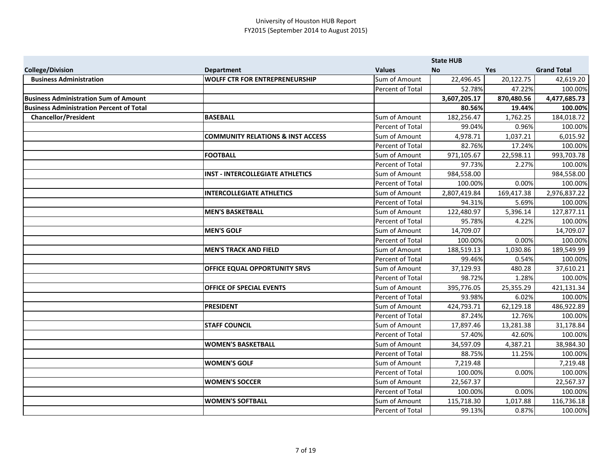|                                                 |                                              |                         | <b>State HUB</b> |            |                    |
|-------------------------------------------------|----------------------------------------------|-------------------------|------------------|------------|--------------------|
| <b>College/Division</b>                         | <b>Department</b>                            | <b>Values</b>           | <b>No</b>        | <b>Yes</b> | <b>Grand Total</b> |
| <b>Business Administration</b>                  | <b>WOLFF CTR FOR ENTREPRENEURSHIP</b>        | Sum of Amount           | 22,496.45        | 20,122.75  | 42,619.20          |
|                                                 |                                              | Percent of Total        | 52.78%           | 47.22%     | 100.00%            |
| <b>Business Administration Sum of Amount</b>    |                                              |                         | 3,607,205.17     | 870,480.56 | 4,477,685.73       |
| <b>Business Administration Percent of Total</b> |                                              |                         | 80.56%           | 19.44%     | 100.00%            |
| <b>Chancellor/President</b>                     | <b>BASEBALL</b>                              | Sum of Amount           | 182,256.47       | 1,762.25   | 184,018.72         |
|                                                 |                                              | Percent of Total        | 99.04%           | 0.96%      | 100.00%            |
|                                                 | <b>COMMUNITY RELATIONS &amp; INST ACCESS</b> | Sum of Amount           | 4,978.71         | 1,037.21   | 6,015.92           |
|                                                 |                                              | Percent of Total        | 82.76%           | 17.24%     | 100.00%            |
|                                                 | <b>FOOTBALL</b>                              | Sum of Amount           | 971,105.67       | 22,598.11  | 993,703.78         |
|                                                 |                                              | Percent of Total        | 97.73%           | 2.27%      | 100.00%            |
|                                                 | <b>INST - INTERCOLLEGIATE ATHLETICS</b>      | Sum of Amount           | 984,558.00       |            | 984,558.00         |
|                                                 |                                              | Percent of Total        | 100.00%          | 0.00%      | 100.00%            |
|                                                 | <b>INTERCOLLEGIATE ATHLETICS</b>             | Sum of Amount           | 2,807,419.84     | 169,417.38 | 2,976,837.22       |
|                                                 |                                              | Percent of Total        | 94.31%           | 5.69%      | 100.00%            |
|                                                 | <b>IMEN'S BASKETBALL</b>                     | Sum of Amount           | 122,480.97       | 5,396.14   | 127,877.11         |
|                                                 |                                              | Percent of Total        | 95.78%           | 4.22%      | 100.00%            |
|                                                 | <b>MEN'S GOLF</b>                            | Sum of Amount           | 14,709.07        |            | 14,709.07          |
|                                                 |                                              | Percent of Total        | 100.00%          | 0.00%      | 100.00%            |
|                                                 | <b>MEN'S TRACK AND FIELD</b>                 | Sum of Amount           | 188,519.13       | 1,030.86   | 189,549.99         |
|                                                 |                                              | Percent of Total        | 99.46%           | 0.54%      | 100.00%            |
|                                                 | <b>OFFICE EQUAL OPPORTUNITY SRVS</b>         | Sum of Amount           | 37,129.93        | 480.28     | 37,610.21          |
|                                                 |                                              | Percent of Total        | 98.72%           | 1.28%      | 100.00%            |
|                                                 | <b>OFFICE OF SPECIAL EVENTS</b>              | Sum of Amount           | 395,776.05       | 25,355.29  | 421,131.34         |
|                                                 |                                              | Percent of Total        | 93.98%           | 6.02%      | 100.00%            |
|                                                 | <b>PRESIDENT</b>                             | Sum of Amount           | 424,793.71       | 62,129.18  | 486,922.89         |
|                                                 |                                              | <b>Percent of Total</b> | 87.24%           | 12.76%     | 100.00%            |
|                                                 | <b>STAFF COUNCIL</b>                         | Sum of Amount           | 17,897.46        | 13,281.38  | 31,178.84          |
|                                                 |                                              | Percent of Total        | 57.40%           | 42.60%     | 100.00%            |
|                                                 | <b>WOMEN'S BASKETBALL</b>                    | Sum of Amount           | 34,597.09        | 4,387.21   | 38,984.30          |
|                                                 |                                              | Percent of Total        | 88.75%           | 11.25%     | 100.00%            |
|                                                 | <b>WOMEN'S GOLF</b>                          | Sum of Amount           | 7,219.48         |            | 7,219.48           |
|                                                 |                                              | Percent of Total        | 100.00%          | 0.00%      | 100.00%            |
|                                                 | <b>WOMEN'S SOCCER</b>                        | Sum of Amount           | 22,567.37        |            | 22,567.37          |
|                                                 |                                              | Percent of Total        | 100.00%          | 0.00%      | 100.00%            |
|                                                 | <b>WOMEN'S SOFTBALL</b>                      | <b>Sum of Amount</b>    | 115,718.30       | 1,017.88   | 116,736.18         |
|                                                 |                                              | Percent of Total        | 99.13%           | 0.87%      | 100.00%            |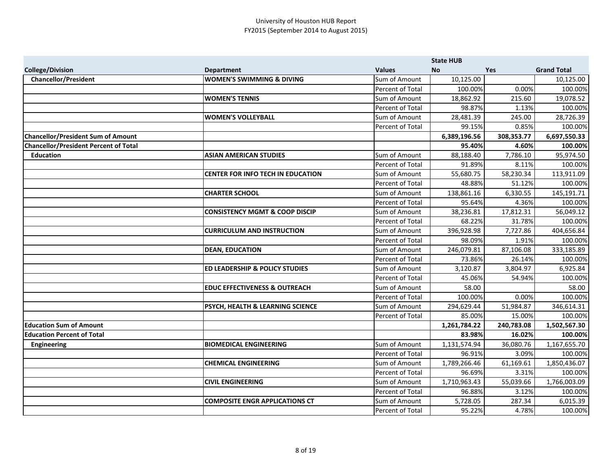|                                              |                                             |                         | <b>State HUB</b> |            |                    |
|----------------------------------------------|---------------------------------------------|-------------------------|------------------|------------|--------------------|
| <b>College/Division</b>                      | <b>Department</b>                           | <b>Values</b>           | <b>No</b>        | <b>Yes</b> | <b>Grand Total</b> |
| <b>Chancellor/President</b>                  | <b>WOMEN'S SWIMMING &amp; DIVING</b>        | Sum of Amount           | 10,125.00        |            | 10,125.00          |
|                                              |                                             | Percent of Total        | 100.00%          | 0.00%      | 100.00%            |
|                                              | <b>WOMEN'S TENNIS</b>                       | Sum of Amount           | 18,862.92        | 215.60     | 19,078.52          |
|                                              |                                             | <b>Percent of Total</b> | 98.87%           | 1.13%      | 100.00%            |
|                                              | <b>WOMEN'S VOLLEYBALL</b>                   | Sum of Amount           | 28,481.39        | 245.00     | 28,726.39          |
|                                              |                                             | <b>Percent of Total</b> | 99.15%           | 0.85%      | 100.00%            |
| <b>Chancellor/President Sum of Amount</b>    |                                             |                         | 6,389,196.56     | 308,353.77 | 6,697,550.33       |
| <b>Chancellor/President Percent of Total</b> |                                             |                         | 95.40%           | 4.60%      | 100.00%            |
| <b>Education</b>                             | <b>ASIAN AMERICAN STUDIES</b>               | Sum of Amount           | 88,188.40        | 7,786.10   | 95,974.50          |
|                                              |                                             | Percent of Total        | 91.89%           | 8.11%      | 100.00%            |
|                                              | <b>CENTER FOR INFO TECH IN EDUCATION</b>    | Sum of Amount           | 55,680.75        | 58,230.34  | 113,911.09         |
|                                              |                                             | Percent of Total        | 48.88%           | 51.12%     | 100.00%            |
|                                              | <b>CHARTER SCHOOL</b>                       | Sum of Amount           | 138,861.16       | 6,330.55   | 145,191.71         |
|                                              |                                             | <b>Percent of Total</b> | 95.64%           | 4.36%      | 100.00%            |
|                                              | <b>CONSISTENCY MGMT &amp; COOP DISCIP</b>   | Sum of Amount           | 38,236.81        | 17,812.31  | 56,049.12          |
|                                              |                                             | <b>Percent of Total</b> | 68.22%           | 31.78%     | 100.00%            |
|                                              | <b>CURRICULUM AND INSTRUCTION</b>           | Sum of Amount           | 396,928.98       | 7,727.86   | 404,656.84         |
|                                              |                                             | Percent of Total        | 98.09%           | 1.91%      | 100.00%            |
|                                              | <b>DEAN, EDUCATION</b>                      | Sum of Amount           | 246,079.81       | 87,106.08  | 333,185.89         |
|                                              |                                             | Percent of Total        | 73.86%           | 26.14%     | 100.00%            |
|                                              | <b>ED LEADERSHIP &amp; POLICY STUDIES</b>   | Sum of Amount           | 3,120.87         | 3,804.97   | 6,925.84           |
|                                              |                                             | Percent of Total        | 45.06%           | 54.94%     | 100.00%            |
|                                              | <b>EDUC EFFECTIVENESS &amp; OUTREACH</b>    | Sum of Amount           | 58.00            |            | 58.00              |
|                                              |                                             | Percent of Total        | 100.00%          | 0.00%      | 100.00%            |
|                                              | <b>PSYCH, HEALTH &amp; LEARNING SCIENCE</b> | Sum of Amount           | 294,629.44       | 51,984.87  | 346,614.31         |
|                                              |                                             | <b>Percent of Total</b> | 85.00%           | 15.00%     | 100.00%            |
| <b>Education Sum of Amount</b>               |                                             |                         | 1,261,784.22     | 240,783.08 | 1,502,567.30       |
| <b>Education Percent of Total</b>            |                                             |                         | 83.98%           | 16.02%     | 100.00%            |
| <b>Engineering</b>                           | <b>BIOMEDICAL ENGINEERING</b>               | Sum of Amount           | 1,131,574.94     | 36,080.76  | 1,167,655.70       |
|                                              |                                             | Percent of Total        | 96.91%           | 3.09%      | 100.00%            |
|                                              | <b>CHEMICAL ENGINEERING</b>                 | Sum of Amount           | 1,789,266.46     | 61,169.61  | 1,850,436.07       |
|                                              |                                             | Percent of Total        | 96.69%           | 3.31%      | 100.00%            |
|                                              | <b>CIVIL ENGINEERING</b>                    | Sum of Amount           | 1,710,963.43     | 55,039.66  | 1,766,003.09       |
|                                              |                                             | Percent of Total        | 96.88%           | 3.12%      | 100.00%            |
|                                              | COMPOSITE ENGR APPLICATIONS CT              | Sum of Amount           | 5,728.05         | 287.34     | 6,015.39           |
|                                              |                                             | Percent of Total        | 95.22%           | 4.78%      | 100.00%            |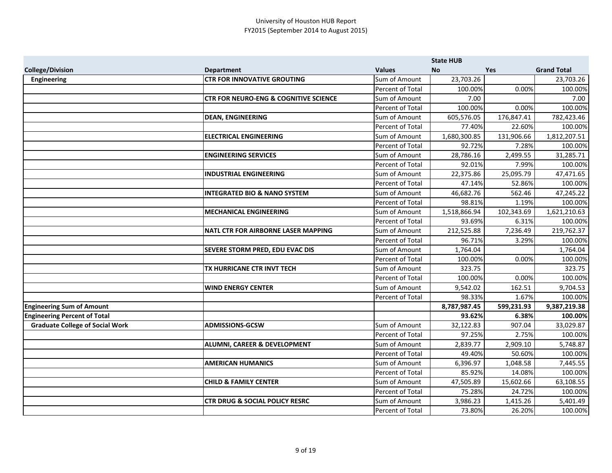|                                        |                                                  |                         | <b>State HUB</b> |            |                    |
|----------------------------------------|--------------------------------------------------|-------------------------|------------------|------------|--------------------|
| <b>College/Division</b>                | <b>Department</b>                                | <b>Values</b>           | <b>No</b>        | Yes        | <b>Grand Total</b> |
| Engineering                            | <b>CTR FOR INNOVATIVE GROUTING</b>               | Sum of Amount           | 23,703.26        |            | 23,703.26          |
|                                        |                                                  | Percent of Total        | 100.00%          | 0.00%      | 100.00%            |
|                                        | <b>CTR FOR NEURO-ENG &amp; COGNITIVE SCIENCE</b> | Sum of Amount           | 7.00             |            | 7.00               |
|                                        |                                                  | Percent of Total        | 100.00%          | 0.00%      | 100.00%            |
|                                        | <b>DEAN, ENGINEERING</b>                         | Sum of Amount           | 605,576.05       | 176,847.41 | 782,423.46         |
|                                        |                                                  | Percent of Total        | 77.40%           | 22.60%     | 100.00%            |
|                                        | <b>ELECTRICAL ENGINEERING</b>                    | Sum of Amount           | 1,680,300.85     | 131,906.66 | 1,812,207.51       |
|                                        |                                                  | Percent of Total        | 92.72%           | 7.28%      | 100.00%            |
|                                        | <b>ENGINEERING SERVICES</b>                      | Sum of Amount           | 28,786.16        | 2,499.55   | 31,285.71          |
|                                        |                                                  | <b>Percent of Total</b> | 92.01%           | 7.99%      | 100.00%            |
|                                        | <b>INDUSTRIAL ENGINEERING</b>                    | Sum of Amount           | 22,375.86        | 25,095.79  | 47,471.65          |
|                                        |                                                  | Percent of Total        | 47.14%           | 52.86%     | 100.00%            |
|                                        | <b>INTEGRATED BIO &amp; NANO SYSTEM</b>          | Sum of Amount           | 46,682.76        | 562.46     | 47,245.22          |
|                                        |                                                  | Percent of Total        | 98.81%           | 1.19%      | 100.00%            |
|                                        | <b>MECHANICAL ENGINEERING</b>                    | Sum of Amount           | 1,518,866.94     | 102,343.69 | 1,621,210.63       |
|                                        |                                                  | Percent of Total        | 93.69%           | 6.31%      | 100.00%            |
|                                        | NATL CTR FOR AIRBORNE LASER MAPPING              | Sum of Amount           | 212,525.88       | 7,236.49   | 219,762.37         |
|                                        |                                                  | Percent of Total        | 96.71%           | 3.29%      | 100.00%            |
|                                        | <b>SEVERE STORM PRED, EDU EVAC DIS</b>           | Sum of Amount           | 1,764.04         |            | 1,764.04           |
|                                        |                                                  | <b>Percent of Total</b> | 100.00%          | 0.00%      | 100.00%            |
|                                        | TX HURRICANE CTR INVT TECH                       | Sum of Amount           | 323.75           |            | 323.75             |
|                                        |                                                  | Percent of Total        | 100.00%          | 0.00%      | 100.00%            |
|                                        | <b>WIND ENERGY CENTER</b>                        | Sum of Amount           | 9,542.02         | 162.51     | 9,704.53           |
|                                        |                                                  | Percent of Total        | 98.33%           | 1.67%      | 100.00%            |
| <b>Engineering Sum of Amount</b>       |                                                  |                         | 8,787,987.45     | 599,231.93 | 9,387,219.38       |
| <b>Engineering Percent of Total</b>    |                                                  |                         | 93.62%           | 6.38%      | 100.00%            |
| <b>Graduate College of Social Work</b> | <b>ADMISSIONS-GCSW</b>                           | Sum of Amount           | 32,122.83        | 907.04     | 33,029.87          |
|                                        |                                                  | Percent of Total        | 97.25%           | 2.75%      | 100.00%            |
|                                        | <b>ALUMNI, CAREER &amp; DEVELOPMENT</b>          | Sum of Amount           | 2,839.77         | 2,909.10   | 5,748.87           |
|                                        |                                                  | Percent of Total        | 49.40%           | 50.60%     | 100.00%            |
|                                        | <b>AMERICAN HUMANICS</b>                         | Sum of Amount           | 6,396.97         | 1,048.58   | 7,445.55           |
|                                        |                                                  | Percent of Total        | 85.92%           | 14.08%     | 100.00%            |
|                                        | <b>CHILD &amp; FAMILY CENTER</b>                 | Sum of Amount           | 47,505.89        | 15,602.66  | 63,108.55          |
|                                        |                                                  | Percent of Total        | 75.28%           | 24.72%     | 100.00%            |
|                                        | <b>CTR DRUG &amp; SOCIAL POLICY RESRC</b>        | Sum of Amount           | 3,986.23         | 1,415.26   | 5,401.49           |
|                                        |                                                  | Percent of Total        | 73.80%           | 26.20%     | 100.00%            |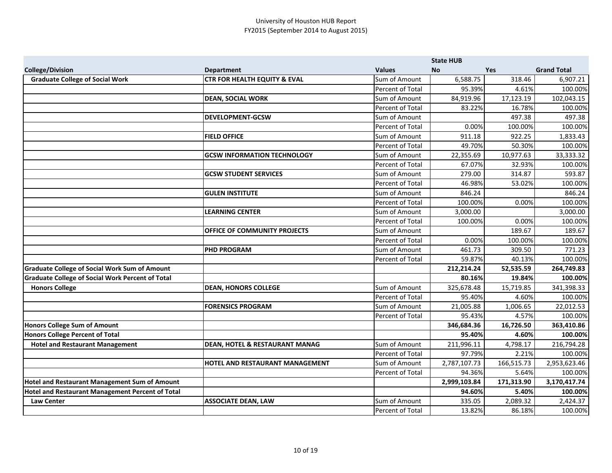|                                                         |                                           |                         | <b>State HUB</b> |            |                    |
|---------------------------------------------------------|-------------------------------------------|-------------------------|------------------|------------|--------------------|
| <b>College/Division</b>                                 | <b>Department</b>                         | <b>Values</b>           | <b>No</b>        | <b>Yes</b> | <b>Grand Total</b> |
| <b>Graduate College of Social Work</b>                  | <b>CTR FOR HEALTH EQUITY &amp; EVAL</b>   | Sum of Amount           | 6,588.75         | 318.46     | 6,907.21           |
|                                                         |                                           | Percent of Total        | 95.39%           | 4.61%      | 100.00%            |
|                                                         | <b>DEAN, SOCIAL WORK</b>                  | Sum of Amount           | 84,919.96        | 17,123.19  | 102,043.15         |
|                                                         |                                           | Percent of Total        | 83.22%           | 16.78%     | 100.00%            |
|                                                         | <b>DEVELOPMENT-GCSW</b>                   | Sum of Amount           |                  | 497.38     | 497.38             |
|                                                         |                                           | Percent of Total        | 0.00%            | 100.00%    | 100.00%            |
|                                                         | <b>FIELD OFFICE</b>                       | Sum of Amount           | 911.18           | 922.25     | 1,833.43           |
|                                                         |                                           | Percent of Total        | 49.70%           | 50.30%     | 100.00%            |
|                                                         | <b>GCSW INFORMATION TECHNOLOGY</b>        | Sum of Amount           | 22,355.69        | 10,977.63  | 33,333.32          |
|                                                         |                                           | <b>Percent of Total</b> | 67.07%           | 32.93%     | 100.00%            |
|                                                         | <b>GCSW STUDENT SERVICES</b>              | Sum of Amount           | 279.00           | 314.87     | 593.87             |
|                                                         |                                           | Percent of Total        | 46.98%           | 53.02%     | 100.00%            |
|                                                         | <b>GULEN INSTITUTE</b>                    | Sum of Amount           | 846.24           |            | 846.24             |
|                                                         |                                           | Percent of Total        | 100.00%          | 0.00%      | 100.00%            |
|                                                         | <b>LEARNING CENTER</b>                    | Sum of Amount           | 3,000.00         |            | 3,000.00           |
|                                                         |                                           | Percent of Total        | 100.00%          | 0.00%      | 100.00%            |
|                                                         | OFFICE OF COMMUNITY PROJECTS              | Sum of Amount           |                  | 189.67     | 189.67             |
|                                                         |                                           | Percent of Total        | 0.00%            | 100.00%    | 100.00%            |
|                                                         | <b>PHD PROGRAM</b>                        | Sum of Amount           | 461.73           | 309.50     | 771.23             |
|                                                         |                                           | Percent of Total        | 59.87%           | 40.13%     | 100.00%            |
| <b>Graduate College of Social Work Sum of Amount</b>    |                                           |                         | 212,214.24       | 52,535.59  | 264,749.83         |
| <b>Graduate College of Social Work Percent of Total</b> |                                           |                         | 80.16%           | 19.84%     | 100.00%            |
| <b>Honors College</b>                                   | <b>DEAN, HONORS COLLEGE</b>               | Sum of Amount           | 325,678.48       | 15,719.85  | 341,398.33         |
|                                                         |                                           | Percent of Total        | 95.40%           | 4.60%      | 100.00%            |
|                                                         | <b>FORENSICS PROGRAM</b>                  | Sum of Amount           | 21,005.88        | 1,006.65   | 22,012.53          |
|                                                         |                                           | Percent of Total        | 95.43%           | 4.57%      | 100.00%            |
| <b>Honors College Sum of Amount</b>                     |                                           |                         | 346,684.36       | 16,726.50  | 363,410.86         |
| <b>Honors College Percent of Total</b>                  |                                           |                         | 95.40%           | 4.60%      | 100.00%            |
| <b>Hotel and Restaurant Management</b>                  | <b>DEAN, HOTEL &amp; RESTAURANT MANAG</b> | Sum of Amount           | 211,996.11       | 4,798.17   | 216,794.28         |
|                                                         |                                           | Percent of Total        | 97.79%           | 2.21%      | 100.00%            |
|                                                         | HOTEL AND RESTAURANT MANAGEMENT           | Sum of Amount           | 2,787,107.73     | 166,515.73 | 2,953,623.46       |
|                                                         |                                           | Percent of Total        | 94.36%           | 5.64%      | 100.00%            |
| <b>Hotel and Restaurant Management Sum of Amount</b>    |                                           |                         | 2,999,103.84     | 171,313.90 | 3,170,417.74       |
| Hotel and Restaurant Management Percent of Total        |                                           |                         | 94.60%           | 5.40%      | 100.00%            |
| <b>Law Center</b>                                       | <b>ASSOCIATE DEAN, LAW</b>                | Sum of Amount           | 335.05           | 2,089.32   | 2,424.37           |
|                                                         |                                           | Percent of Total        | 13.82%           | 86.18%     | 100.00%            |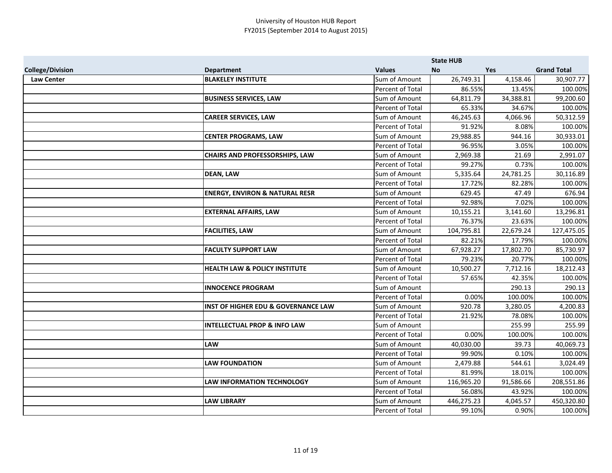|                         |                                                |                  | <b>State HUB</b> |           |                    |
|-------------------------|------------------------------------------------|------------------|------------------|-----------|--------------------|
| <b>College/Division</b> | <b>Department</b>                              | <b>Values</b>    | <b>No</b>        | Yes       | <b>Grand Total</b> |
| <b>Law Center</b>       | <b>BLAKELEY INSTITUTE</b>                      | Sum of Amount    | 26,749.31        | 4,158.46  | 30,907.77          |
|                         |                                                | Percent of Total | 86.55%           | 13.45%    | 100.00%            |
|                         | <b>BUSINESS SERVICES, LAW</b>                  | Sum of Amount    | 64,811.79        | 34,388.81 | 99,200.60          |
|                         |                                                | Percent of Total | 65.33%           | 34.67%    | 100.00%            |
|                         | <b>CAREER SERVICES, LAW</b>                    | Sum of Amount    | 46,245.63        | 4,066.96  | 50,312.59          |
|                         |                                                | Percent of Total | 91.92%           | 8.08%     | 100.00%            |
|                         | <b>CENTER PROGRAMS, LAW</b>                    | Sum of Amount    | 29,988.85        | 944.16    | 30,933.01          |
|                         |                                                | Percent of Total | 96.95%           | 3.05%     | 100.00%            |
|                         | <b>CHAIRS AND PROFESSORSHIPS, LAW</b>          | Sum of Amount    | 2,969.38         | 21.69     | 2,991.07           |
|                         |                                                | Percent of Total | 99.27%           | 0.73%     | 100.00%            |
|                         | <b>DEAN, LAW</b>                               | Sum of Amount    | 5,335.64         | 24,781.25 | 30,116.89          |
|                         |                                                | Percent of Total | 17.72%           | 82.28%    | 100.00%            |
|                         | <b>ENERGY, ENVIRON &amp; NATURAL RESR</b>      | Sum of Amount    | 629.45           | 47.49     | 676.94             |
|                         |                                                | Percent of Total | 92.98%           | 7.02%     | 100.00%            |
|                         | <b>EXTERNAL AFFAIRS, LAW</b>                   | Sum of Amount    | 10,155.21        | 3,141.60  | 13,296.81          |
|                         |                                                | Percent of Total | 76.37%           | 23.63%    | 100.00%            |
|                         | <b>FACILITIES, LAW</b>                         | Sum of Amount    | 104,795.81       | 22,679.24 | 127,475.05         |
|                         |                                                | Percent of Total | 82.21%           | 17.79%    | 100.00%            |
|                         | <b>FACULTY SUPPORT LAW</b>                     | Sum of Amount    | 67,928.27        | 17,802.70 | 85,730.97          |
|                         |                                                | Percent of Total | 79.23%           | 20.77%    | 100.00%            |
|                         | <b>HEALTH LAW &amp; POLICY INSTITUTE</b>       | Sum of Amount    | 10,500.27        | 7,712.16  | 18,212.43          |
|                         |                                                | Percent of Total | 57.65%           | 42.35%    | 100.00%            |
|                         | <b>INNOCENCE PROGRAM</b>                       | Sum of Amount    |                  | 290.13    | 290.13             |
|                         |                                                | Percent of Total | 0.00%            | 100.00%   | 100.00%            |
|                         | <b>INST OF HIGHER EDU &amp; GOVERNANCE LAW</b> | Sum of Amount    | 920.78           | 3,280.05  | 4,200.83           |
|                         |                                                | Percent of Total | 21.92%           | 78.08%    | 100.00%            |
|                         | <b>INTELLECTUAL PROP &amp; INFO LAW</b>        | Sum of Amount    |                  | 255.99    | 255.99             |
|                         |                                                | Percent of Total | 0.00%            | 100.00%   | 100.00%            |
|                         | <b>LAW</b>                                     | Sum of Amount    | 40,030.00        | 39.73     | 40,069.73          |
|                         |                                                | Percent of Total | 99.90%           | 0.10%     | 100.00%            |
|                         | <b>LAW FOUNDATION</b>                          | Sum of Amount    | 2,479.88         | 544.61    | 3,024.49           |
|                         |                                                | Percent of Total | 81.99%           | 18.01%    | 100.00%            |
|                         | LAW INFORMATION TECHNOLOGY                     | Sum of Amount    | 116,965.20       | 91,586.66 | 208,551.86         |
|                         |                                                | Percent of Total | 56.08%           | 43.92%    | 100.00%            |
|                         | <b>LAW LIBRARY</b>                             | Sum of Amount    | 446,275.23       | 4,045.57  | 450,320.80         |
|                         |                                                | Percent of Total | 99.10%           | 0.90%     | 100.00%            |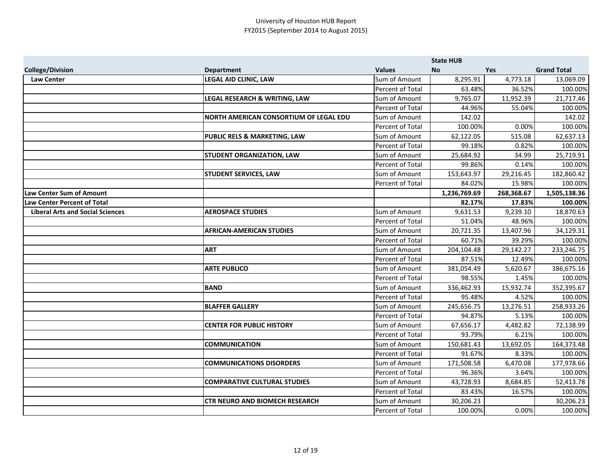|                                         |                                        |                  | <b>State HUB</b> |            |                    |
|-----------------------------------------|----------------------------------------|------------------|------------------|------------|--------------------|
| <b>College/Division</b>                 | <b>Department</b>                      | <b>Values</b>    | <b>No</b>        | Yes        | <b>Grand Total</b> |
| <b>Law Center</b>                       | <b>LEGAL AID CLINIC, LAW</b>           | Sum of Amount    | 8,295.91         | 4,773.18   | 13,069.09          |
|                                         |                                        | Percent of Total | 63.48%           | 36.52%     | 100.00%            |
|                                         | LEGAL RESEARCH & WRITING, LAW          | Sum of Amount    | 9,765.07         | 11,952.39  | 21,717.46          |
|                                         |                                        | Percent of Total | 44.96%           | 55.04%     | 100.00%            |
|                                         | NORTH AMERICAN CONSORTIUM OF LEGAL EDU | Sum of Amount    | 142.02           |            | 142.02             |
|                                         |                                        | Percent of Total | 100.00%          | 0.00%      | 100.00%            |
|                                         | PUBLIC RELS & MARKETING, LAW           | Sum of Amount    | 62,122.05        | 515.08     | 62,637.13          |
|                                         |                                        | Percent of Total | 99.18%           | 0.82%      | 100.00%            |
|                                         | <b>STUDENT ORGANIZATION, LAW</b>       | Sum of Amount    | 25,684.92        | 34.99      | 25,719.91          |
|                                         |                                        | Percent of Total | 99.86%           | 0.14%      | 100.00%            |
|                                         | <b>STUDENT SERVICES, LAW</b>           | Sum of Amount    | 153,643.97       | 29,216.45  | 182,860.42         |
|                                         |                                        | Percent of Total | 84.02%           | 15.98%     | 100.00%            |
| Law Center Sum of Amount                |                                        |                  | 1,236,769.69     | 268,368.67 | 1,505,138.36       |
| <b>Law Center Percent of Total</b>      |                                        |                  | 82.17%           | 17.83%     | 100.00%            |
| <b>Liberal Arts and Social Sciences</b> | <b>AEROSPACE STUDIES</b>               | Sum of Amount    | 9,631.53         | 9,239.10   | 18,870.63          |
|                                         |                                        | Percent of Total | 51.04%           | 48.96%     | 100.00%            |
|                                         | <b>AFRICAN-AMERICAN STUDIES</b>        | Sum of Amount    | 20,721.35        | 13,407.96  | 34,129.31          |
|                                         |                                        | Percent of Total | 60.71%           | 39.29%     | 100.00%            |
|                                         | <b>ART</b>                             | Sum of Amount    | 204,104.48       | 29,142.27  | 233,246.75         |
|                                         |                                        | Percent of Total | 87.51%           | 12.49%     | 100.00%            |
|                                         | <b>ARTE PUBLICO</b>                    | Sum of Amount    | 381,054.49       | 5,620.67   | 386,675.16         |
|                                         |                                        | Percent of Total | 98.55%           | 1.45%      | 100.00%            |
|                                         | <b>BAND</b>                            | Sum of Amount    | 336,462.93       | 15,932.74  | 352,395.67         |
|                                         |                                        | Percent of Total | 95.48%           | 4.52%      | 100.00%            |
|                                         | <b>BLAFFER GALLERY</b>                 | Sum of Amount    | 245,656.75       | 13,276.51  | 258,933.26         |
|                                         |                                        | Percent of Total | 94.87%           | 5.13%      | 100.00%            |
|                                         | <b>CENTER FOR PUBLIC HISTORY</b>       | Sum of Amount    | 67,656.17        | 4,482.82   | 72,138.99          |
|                                         |                                        | Percent of Total | 93.79%           | 6.21%      | 100.00%            |
|                                         | <b>COMMUNICATION</b>                   | Sum of Amount    | 150,681.43       | 13,692.05  | 164,373.48         |
|                                         |                                        | Percent of Total | 91.67%           | 8.33%      | 100.00%            |
|                                         | <b>COMMUNICATIONS DISORDERS</b>        | Sum of Amount    | 171,508.58       | 6,470.08   | 177,978.66         |
|                                         |                                        | Percent of Total | 96.36%           | 3.64%      | 100.00%            |
|                                         | <b>COMPARATIVE CULTURAL STUDIES</b>    | Sum of Amount    | 43,728.93        | 8,684.85   | 52,413.78          |
|                                         |                                        | Percent of Total | 83.43%           | 16.57%     | 100.00%            |
|                                         | <b>CTR NEURO AND BIOMECH RESEARCH</b>  | Sum of Amount    | 30,206.23        |            | 30,206.23          |
|                                         |                                        | Percent of Total | 100.00%          | 0.00%      | 100.00%            |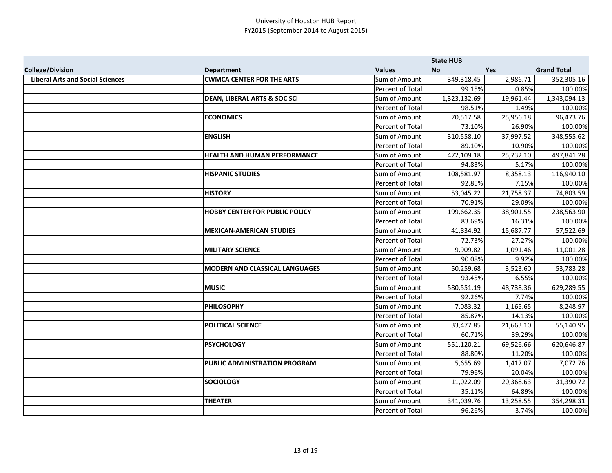|                                         |                                       |                  | <b>State HUB</b> |            |                    |
|-----------------------------------------|---------------------------------------|------------------|------------------|------------|--------------------|
| <b>College/Division</b>                 | <b>Department</b>                     | <b>Values</b>    | <b>No</b>        | <b>Yes</b> | <b>Grand Total</b> |
| <b>Liberal Arts and Social Sciences</b> | <b>CWMCA CENTER FOR THE ARTS</b>      | Sum of Amount    | 349,318.45       | 2,986.71   | 352,305.16         |
|                                         |                                       | Percent of Total | 99.15%           | 0.85%      | 100.00%            |
|                                         | DEAN, LIBERAL ARTS & SOC SCI          | Sum of Amount    | 1,323,132.69     | 19,961.44  | 1,343,094.13       |
|                                         |                                       | Percent of Total | 98.51%           | 1.49%      | 100.00%            |
|                                         | <b>ECONOMICS</b>                      | Sum of Amount    | 70,517.58        | 25,956.18  | 96,473.76          |
|                                         |                                       | Percent of Total | 73.10%           | 26.90%     | 100.00%            |
|                                         | <b>ENGLISH</b>                        | Sum of Amount    | 310,558.10       | 37,997.52  | 348,555.62         |
|                                         |                                       | Percent of Total | 89.10%           | 10.90%     | 100.00%            |
|                                         | <b>HEALTH AND HUMAN PERFORMANCE</b>   | Sum of Amount    | 472,109.18       | 25,732.10  | 497,841.28         |
|                                         |                                       | Percent of Total | 94.83%           | 5.17%      | 100.00%            |
|                                         | <b>HISPANIC STUDIES</b>               | Sum of Amount    | 108,581.97       | 8,358.13   | 116,940.10         |
|                                         |                                       | Percent of Total | 92.85%           | 7.15%      | 100.00%            |
|                                         | <b>HISTORY</b>                        | Sum of Amount    | 53,045.22        | 21,758.37  | 74,803.59          |
|                                         |                                       | Percent of Total | 70.91%           | 29.09%     | 100.00%            |
|                                         | <b>HOBBY CENTER FOR PUBLIC POLICY</b> | Sum of Amount    | 199,662.35       | 38,901.55  | 238,563.90         |
|                                         |                                       | Percent of Total | 83.69%           | 16.31%     | 100.00%            |
|                                         | <b>MEXICAN-AMERICAN STUDIES</b>       | Sum of Amount    | 41,834.92        | 15,687.77  | 57,522.69          |
|                                         |                                       | Percent of Total | 72.73%           | 27.27%     | 100.00%            |
|                                         | <b>MILITARY SCIENCE</b>               | Sum of Amount    | 9,909.82         | 1,091.46   | 11,001.28          |
|                                         |                                       | Percent of Total | 90.08%           | 9.92%      | 100.00%            |
|                                         | <b>MODERN AND CLASSICAL LANGUAGES</b> | Sum of Amount    | 50,259.68        | 3,523.60   | 53,783.28          |
|                                         |                                       | Percent of Total | 93.45%           | 6.55%      | 100.00%            |
|                                         | <b>MUSIC</b>                          | Sum of Amount    | 580,551.19       | 48,738.36  | 629,289.55         |
|                                         |                                       | Percent of Total | 92.26%           | 7.74%      | 100.00%            |
|                                         | <b>PHILOSOPHY</b>                     | Sum of Amount    | 7,083.32         | 1,165.65   | 8,248.97           |
|                                         |                                       | Percent of Total | 85.87%           | 14.13%     | 100.00%            |
|                                         | <b>POLITICAL SCIENCE</b>              | Sum of Amount    | 33,477.85        | 21,663.10  | 55,140.95          |
|                                         |                                       | Percent of Total | 60.71%           | 39.29%     | 100.00%            |
|                                         | <b>PSYCHOLOGY</b>                     | Sum of Amount    | 551,120.21       | 69,526.66  | 620,646.87         |
|                                         |                                       | Percent of Total | 88.80%           | 11.20%     | 100.00%            |
|                                         | PUBLIC ADMINISTRATION PROGRAM         | Sum of Amount    | 5,655.69         | 1,417.07   | 7,072.76           |
|                                         |                                       | Percent of Total | 79.96%           | 20.04%     | 100.00%            |
|                                         | <b>SOCIOLOGY</b>                      | Sum of Amount    | 11,022.09        | 20,368.63  | 31,390.72          |
|                                         |                                       | Percent of Total | 35.11%           | 64.89%     | 100.00%            |
|                                         | <b>THEATER</b>                        | Sum of Amount    | 341,039.76       | 13,258.55  | 354,298.31         |
|                                         |                                       | Percent of Total | 96.26%           | 3.74%      | 100.00%            |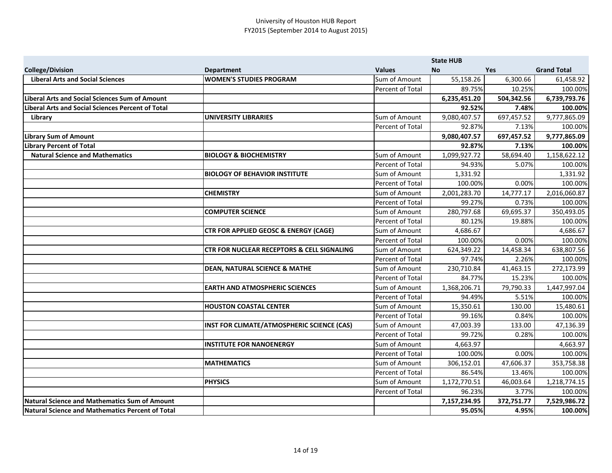|                                                          |                                                       |                  | <b>State HUB</b> |            |                    |
|----------------------------------------------------------|-------------------------------------------------------|------------------|------------------|------------|--------------------|
| <b>College/Division</b>                                  | <b>Department</b>                                     | <b>Values</b>    | <b>No</b>        | <b>Yes</b> | <b>Grand Total</b> |
| <b>Liberal Arts and Social Sciences</b>                  | <b>WOMEN'S STUDIES PROGRAM</b>                        | Sum of Amount    | 55,158.26        | 6,300.66   | 61,458.92          |
|                                                          |                                                       | Percent of Total | 89.75%           | 10.25%     | 100.00%            |
| Liberal Arts and Social Sciences Sum of Amount           |                                                       |                  | 6,235,451.20     | 504,342.56 | 6,739,793.76       |
| <b>Liberal Arts and Social Sciences Percent of Total</b> |                                                       |                  | 92.52%           | 7.48%      | 100.00%            |
| Library                                                  | <b>UNIVERSITY LIBRARIES</b>                           | Sum of Amount    | 9,080,407.57     | 697,457.52 | 9,777,865.09       |
|                                                          |                                                       | Percent of Total | 92.87%           | 7.13%      | 100.00%            |
| <b>Library Sum of Amount</b>                             |                                                       |                  | 9,080,407.57     | 697,457.52 | 9,777,865.09       |
| <b>Library Percent of Total</b>                          |                                                       |                  | 92.87%           | 7.13%      | 100.00%            |
| <b>Natural Science and Mathematics</b>                   | <b>BIOLOGY &amp; BIOCHEMISTRY</b>                     | Sum of Amount    | 1,099,927.72     | 58,694.40  | 1,158,622.12       |
|                                                          |                                                       | Percent of Total | 94.93%           | 5.07%      | 100.00%            |
|                                                          | <b>BIOLOGY OF BEHAVIOR INSTITUTE</b>                  | Sum of Amount    | 1,331.92         |            | 1,331.92           |
|                                                          |                                                       | Percent of Total | 100.00%          | 0.00%      | 100.00%            |
|                                                          | <b>CHEMISTRY</b>                                      | Sum of Amount    | 2,001,283.70     | 14,777.17  | 2,016,060.87       |
|                                                          |                                                       | Percent of Total | 99.27%           | 0.73%      | 100.00%            |
|                                                          | <b>COMPUTER SCIENCE</b>                               | Sum of Amount    | 280,797.68       | 69,695.37  | 350,493.05         |
|                                                          |                                                       | Percent of Total | 80.12%           | 19.88%     | 100.00%            |
|                                                          | <b>CTR FOR APPLIED GEOSC &amp; ENERGY (CAGE)</b>      | Sum of Amount    | 4,686.67         |            | 4,686.67           |
|                                                          |                                                       | Percent of Total | 100.00%          | 0.00%      | 100.00%            |
|                                                          | <b>CTR FOR NUCLEAR RECEPTORS &amp; CELL SIGNALING</b> | Sum of Amount    | 624,349.22       | 14,458.34  | 638,807.56         |
|                                                          |                                                       | Percent of Total | 97.74%           | 2.26%      | 100.00%            |
|                                                          | <b>DEAN, NATURAL SCIENCE &amp; MATHE</b>              | Sum of Amount    | 230,710.84       | 41,463.15  | 272,173.99         |
|                                                          |                                                       | Percent of Total | 84.77%           | 15.23%     | 100.00%            |
|                                                          | <b>EARTH AND ATMOSPHERIC SCIENCES</b>                 | Sum of Amount    | 1,368,206.71     | 79,790.33  | 1,447,997.04       |
|                                                          |                                                       | Percent of Total | 94.49%           | 5.51%      | 100.00%            |
|                                                          | <b>HOUSTON COASTAL CENTER</b>                         | Sum of Amount    | 15,350.61        | 130.00     | 15,480.61          |
|                                                          |                                                       | Percent of Total | 99.16%           | 0.84%      | 100.00%            |
|                                                          | INST FOR CLIMATE/ATMOSPHERIC SCIENCE (CAS)            | Sum of Amount    | 47,003.39        | 133.00     | 47,136.39          |
|                                                          |                                                       | Percent of Total | 99.72%           | 0.28%      | 100.00%            |
|                                                          | <b>INSTITUTE FOR NANOENERGY</b>                       | Sum of Amount    | 4,663.97         |            | 4,663.97           |
|                                                          |                                                       | Percent of Total | 100.00%          | 0.00%      | 100.00%            |
|                                                          | <b>MATHEMATICS</b>                                    | Sum of Amount    | 306,152.01       | 47,606.37  | 353,758.38         |
|                                                          |                                                       | Percent of Total | 86.54%           | 13.46%     | 100.00%            |
|                                                          | <b>PHYSICS</b>                                        | Sum of Amount    | 1,172,770.51     | 46,003.64  | 1,218,774.15       |
|                                                          |                                                       | Percent of Total | 96.23%           | 3.77%      | 100.00%            |
| <b>Natural Science and Mathematics Sum of Amount</b>     |                                                       |                  | 7,157,234.95     | 372,751.77 | 7,529,986.72       |
| <b>Natural Science and Mathematics Percent of Total</b>  |                                                       |                  | 95.05%           | 4.95%      | 100.00%            |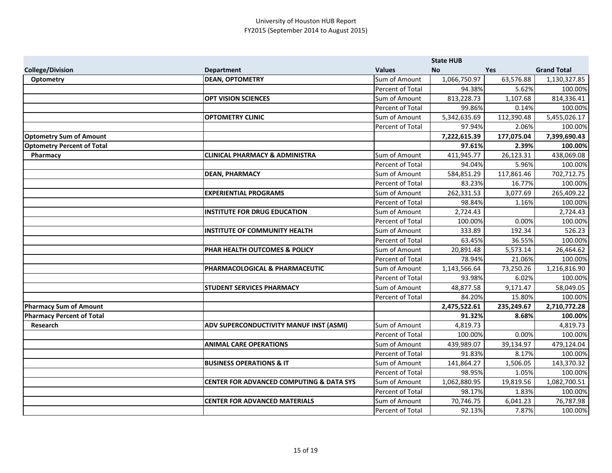|                                   |                                                     |                         | <b>State HUB</b> |            |                    |
|-----------------------------------|-----------------------------------------------------|-------------------------|------------------|------------|--------------------|
| <b>College/Division</b>           | <b>Department</b>                                   | <b>Values</b>           | <b>No</b>        | Yes        | <b>Grand Total</b> |
| Optometry                         | <b>DEAN, OPTOMETRY</b>                              | Sum of Amount           | 1,066,750.97     | 63,576.88  | 1,130,327.85       |
|                                   |                                                     | Percent of Total        | 94.38%           | 5.62%      | 100.00%            |
|                                   | <b>OPT VISION SCIENCES</b>                          | Sum of Amount           | 813,228.73       | 1,107.68   | 814,336.41         |
|                                   |                                                     | Percent of Total        | 99.86%           | 0.14%      | 100.00%            |
|                                   | <b>OPTOMETRY CLINIC</b>                             | Sum of Amount           | 5,342,635.69     | 112,390.48 | 5,455,026.17       |
|                                   |                                                     | <b>Percent of Total</b> | 97.94%           | 2.06%      | 100.00%            |
| <b>Optometry Sum of Amount</b>    |                                                     |                         | 7,222,615.39     | 177,075.04 | 7,399,690.43       |
| <b>Optometry Percent of Total</b> |                                                     |                         | 97.61%           | 2.39%      | 100.00%            |
| Pharmacy                          | <b>CLINICAL PHARMACY &amp; ADMINISTRA</b>           | Sum of Amount           | 411,945.77       | 26,123.31  | 438,069.08         |
|                                   |                                                     | Percent of Total        | 94.04%           | 5.96%      | 100.00%            |
|                                   | <b>DEAN, PHARMACY</b>                               | Sum of Amount           | 584,851.29       | 117,861.46 | 702,712.75         |
|                                   |                                                     | Percent of Total        | 83.23%           | 16.77%     | 100.00%            |
|                                   | <b>EXPERIENTIAL PROGRAMS</b>                        | Sum of Amount           | 262,331.53       | 3,077.69   | 265,409.22         |
|                                   |                                                     | Percent of Total        | 98.84%           | 1.16%      | 100.00%            |
|                                   | <b>INSTITUTE FOR DRUG EDUCATION</b>                 | Sum of Amount           | 2,724.43         |            | 2,724.43           |
|                                   |                                                     | Percent of Total        | 100.00%          | 0.00%      | 100.00%            |
|                                   | <b>INSTITUTE OF COMMUNITY HEALTH</b>                | Sum of Amount           | 333.89           | 192.34     | 526.23             |
|                                   |                                                     | Percent of Total        | 63.45%           | 36.55%     | 100.00%            |
|                                   | <b>PHAR HEALTH OUTCOMES &amp; POLICY</b>            | Sum of Amount           | 20,891.48        | 5,573.14   | 26,464.62          |
|                                   |                                                     | Percent of Total        | 78.94%           | 21.06%     | 100.00%            |
|                                   | PHARMACOLOGICAL & PHARMACEUTIC                      | Sum of Amount           | 1,143,566.64     | 73,250.26  | 1,216,816.90       |
|                                   |                                                     | Percent of Total        | 93.98%           | 6.02%      | 100.00%            |
|                                   | <b>STUDENT SERVICES PHARMACY</b>                    | Sum of Amount           | 48,877.58        | 9,171.47   | 58,049.05          |
|                                   |                                                     | Percent of Total        | 84.20%           | 15.80%     | 100.00%            |
| <b>Pharmacy Sum of Amount</b>     |                                                     |                         | 2,475,522.61     | 235,249.67 | 2,710,772.28       |
| <b>Pharmacy Percent of Total</b>  |                                                     |                         | 91.32%           | 8.68%      | 100.00%            |
| Research                          | ADV SUPERCONDUCTIVITY MANUF INST (ASMI)             | Sum of Amount           | 4,819.73         |            | 4,819.73           |
|                                   |                                                     | Percent of Total        | 100.00%          | 0.00%      | 100.00%            |
|                                   | <b>ANIMAL CARE OPERATIONS</b>                       | Sum of Amount           | 439,989.07       | 39,134.97  | 479,124.04         |
|                                   |                                                     | Percent of Total        | 91.83%           | 8.17%      | 100.00%            |
|                                   | <b>BUSINESS OPERATIONS &amp; IT</b>                 | Sum of Amount           | 141,864.27       | 1,506.05   | 143,370.32         |
|                                   |                                                     | Percent of Total        | 98.95%           | 1.05%      | 100.00%            |
|                                   | <b>CENTER FOR ADVANCED COMPUTING &amp; DATA SYS</b> | Sum of Amount           | 1,062,880.95     | 19,819.56  | 1,082,700.51       |
|                                   |                                                     | Percent of Total        | 98.17%           | 1.83%      | 100.00%            |
|                                   | <b>CENTER FOR ADVANCED MATERIALS</b>                | Sum of Amount           | 70,746.75        | 6,041.23   | 76,787.98          |
|                                   |                                                     | Percent of Total        | 92.13%           | 7.87%      | 100.00%            |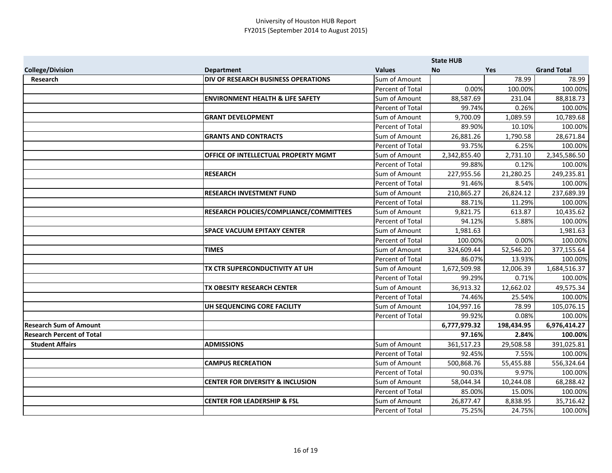|                                  |                                             |                         | <b>State HUB</b> |            |                    |
|----------------------------------|---------------------------------------------|-------------------------|------------------|------------|--------------------|
| <b>College/Division</b>          | <b>Department</b>                           | <b>Values</b>           | <b>No</b>        | <b>Yes</b> | <b>Grand Total</b> |
| Research                         | DIV OF RESEARCH BUSINESS OPERATIONS         | Sum of Amount           |                  | 78.99      | 78.99              |
|                                  |                                             | Percent of Total        | 0.00%            | 100.00%    | 100.00%            |
|                                  | <b>ENVIRONMENT HEALTH &amp; LIFE SAFETY</b> | Sum of Amount           | 88,587.69        | 231.04     | 88,818.73          |
|                                  |                                             | Percent of Total        | 99.74%           | 0.26%      | 100.00%            |
|                                  | <b>GRANT DEVELOPMENT</b>                    | Sum of Amount           | 9,700.09         | 1,089.59   | 10,789.68          |
|                                  |                                             | Percent of Total        | 89.90%           | 10.10%     | 100.00%            |
|                                  | <b>GRANTS AND CONTRACTS</b>                 | Sum of Amount           | 26,881.26        | 1,790.58   | 28,671.84          |
|                                  |                                             | Percent of Total        | 93.75%           | 6.25%      | 100.00%            |
|                                  | OFFICE OF INTELLECTUAL PROPERTY MGMT        | Sum of Amount           | 2,342,855.40     | 2,731.10   | 2,345,586.50       |
|                                  |                                             | Percent of Total        | 99.88%           | 0.12%      | 100.00%            |
|                                  | <b>RESEARCH</b>                             | Sum of Amount           | 227,955.56       | 21,280.25  | 249,235.81         |
|                                  |                                             | Percent of Total        | 91.46%           | 8.54%      | 100.00%            |
|                                  | <b>RESEARCH INVESTMENT FUND</b>             | Sum of Amount           | 210,865.27       | 26,824.12  | 237,689.39         |
|                                  |                                             | Percent of Total        | 88.71%           | 11.29%     | 100.00%            |
|                                  | RESEARCH POLICIES/COMPLIANCE/COMMITTEES     | Sum of Amount           | 9,821.75         | 613.87     | 10,435.62          |
|                                  |                                             | Percent of Total        | 94.12%           | 5.88%      | 100.00%            |
|                                  | <b>SPACE VACUUM EPITAXY CENTER</b>          | Sum of Amount           | 1,981.63         |            | 1,981.63           |
|                                  |                                             | Percent of Total        | 100.00%          | 0.00%      | 100.00%            |
|                                  | <b>TIMES</b>                                | Sum of Amount           | 324,609.44       | 52,546.20  | 377,155.64         |
|                                  |                                             | <b>Percent of Total</b> | 86.07%           | 13.93%     | 100.00%            |
|                                  | TX CTR SUPERCONDUCTIVITY AT UH              | Sum of Amount           | 1,672,509.98     | 12,006.39  | 1,684,516.37       |
|                                  |                                             | Percent of Total        | 99.29%           | 0.71%      | 100.00%            |
|                                  | TX OBESITY RESEARCH CENTER                  | Sum of Amount           | 36,913.32        | 12,662.02  | 49,575.34          |
|                                  |                                             | Percent of Total        | 74.46%           | 25.54%     | 100.00%            |
|                                  | UH SEQUENCING CORE FACILITY                 | Sum of Amount           | 104,997.16       | 78.99      | 105,076.15         |
|                                  |                                             | Percent of Total        | 99.92%           | 0.08%      | 100.00%            |
| <b>Research Sum of Amount</b>    |                                             |                         | 6,777,979.32     | 198,434.95 | 6,976,414.27       |
| <b>Research Percent of Total</b> |                                             |                         | 97.16%           | 2.84%      | 100.00%            |
| <b>Student Affairs</b>           | <b>ADMISSIONS</b>                           | Sum of Amount           | 361,517.23       | 29,508.58  | 391,025.81         |
|                                  |                                             | Percent of Total        | 92.45%           | 7.55%      | 100.00%            |
|                                  | <b>CAMPUS RECREATION</b>                    | Sum of Amount           | 500,868.76       | 55,455.88  | 556,324.64         |
|                                  |                                             | Percent of Total        | 90.03%           | 9.97%      | 100.00%            |
|                                  | <b>CENTER FOR DIVERSITY &amp; INCLUSION</b> | Sum of Amount           | 58,044.34        | 10,244.08  | 68,288.42          |
|                                  |                                             | Percent of Total        | 85.00%           | 15.00%     | 100.00%            |
|                                  | <b>CENTER FOR LEADERSHIP &amp; FSL</b>      | Sum of Amount           | 26,877.47        | 8,838.95   | 35,716.42          |
|                                  |                                             | Percent of Total        | 75.25%           | 24.75%     | 100.00%            |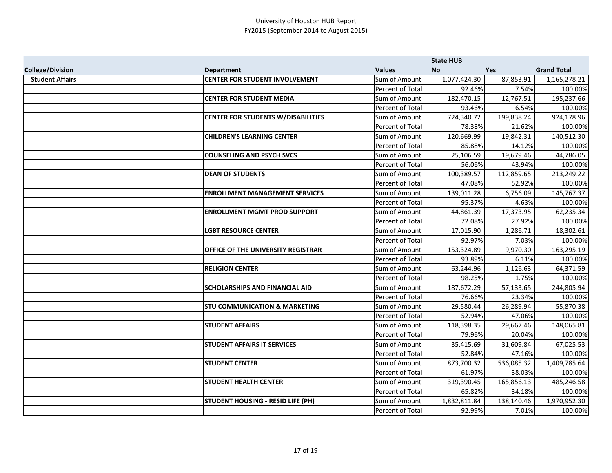|                         |                                           |                  | <b>State HUB</b> |            |                    |
|-------------------------|-------------------------------------------|------------------|------------------|------------|--------------------|
| <b>College/Division</b> | <b>Department</b>                         | <b>Values</b>    | <b>No</b>        | Yes        | <b>Grand Total</b> |
| <b>Student Affairs</b>  | <b>CENTER FOR STUDENT INVOLVEMENT</b>     | Sum of Amount    | 1,077,424.30     | 87,853.91  | 1,165,278.21       |
|                         |                                           | Percent of Total | 92.46%           | 7.54%      | 100.00%            |
|                         | <b>CENTER FOR STUDENT MEDIA</b>           | Sum of Amount    | 182,470.15       | 12,767.51  | 195,237.66         |
|                         |                                           | Percent of Total | 93.46%           | 6.54%      | 100.00%            |
|                         | <b>CENTER FOR STUDENTS W/DISABILITIES</b> | Sum of Amount    | 724,340.72       | 199,838.24 | 924,178.96         |
|                         |                                           | Percent of Total | 78.38%           | 21.62%     | 100.00%            |
|                         | <b>CHILDREN'S LEARNING CENTER</b>         | Sum of Amount    | 120,669.99       | 19,842.31  | 140,512.30         |
|                         |                                           | Percent of Total | 85.88%           | 14.12%     | 100.00%            |
|                         | <b>COUNSELING AND PSYCH SVCS</b>          | Sum of Amount    | 25,106.59        | 19,679.46  | 44,786.05          |
|                         |                                           | Percent of Total | 56.06%           | 43.94%     | 100.00%            |
|                         | <b>DEAN OF STUDENTS</b>                   | Sum of Amount    | 100,389.57       | 112,859.65 | 213,249.22         |
|                         |                                           | Percent of Total | 47.08%           | 52.92%     | 100.00%            |
|                         | <b>ENROLLMENT MANAGEMENT SERVICES</b>     | Sum of Amount    | 139,011.28       | 6,756.09   | 145,767.37         |
|                         |                                           | Percent of Total | 95.37%           | 4.63%      | 100.00%            |
|                         | <b>ENROLLMENT MGMT PROD SUPPORT</b>       | Sum of Amount    | 44,861.39        | 17,373.95  | 62,235.34          |
|                         |                                           | Percent of Total | 72.08%           | 27.92%     | 100.00%            |
|                         | <b>LGBT RESOURCE CENTER</b>               | Sum of Amount    | 17,015.90        | 1,286.71   | 18,302.61          |
|                         |                                           | Percent of Total | 92.97%           | 7.03%      | 100.00%            |
|                         | OFFICE OF THE UNIVERSITY REGISTRAR        | Sum of Amount    | 153,324.89       | 9,970.30   | 163,295.19         |
|                         |                                           | Percent of Total | 93.89%           | 6.11%      | 100.00%            |
|                         | <b>RELIGION CENTER</b>                    | Sum of Amount    | 63,244.96        | 1,126.63   | 64,371.59          |
|                         |                                           | Percent of Total | 98.25%           | 1.75%      | 100.00%            |
|                         | SCHOLARSHIPS AND FINANCIAL AID            | Sum of Amount    | 187,672.29       | 57,133.65  | 244,805.94         |
|                         |                                           | Percent of Total | 76.66%           | 23.34%     | 100.00%            |
|                         | <b>STU COMMUNICATION &amp; MARKETING</b>  | Sum of Amount    | 29,580.44        | 26,289.94  | 55,870.38          |
|                         |                                           | Percent of Total | 52.94%           | 47.06%     | 100.00%            |
|                         | <b>STUDENT AFFAIRS</b>                    | Sum of Amount    | 118,398.35       | 29,667.46  | 148,065.81         |
|                         |                                           | Percent of Total | 79.96%           | 20.04%     | 100.00%            |
|                         | <b>STUDENT AFFAIRS IT SERVICES</b>        | Sum of Amount    | 35,415.69        | 31,609.84  | 67,025.53          |
|                         |                                           | Percent of Total | 52.84%           | 47.16%     | 100.00%            |
|                         | <b>STUDENT CENTER</b>                     | Sum of Amount    | 873,700.32       | 536,085.32 | 1,409,785.64       |
|                         |                                           | Percent of Total | 61.97%           | 38.03%     | 100.00%            |
|                         | <b>STUDENT HEALTH CENTER</b>              | Sum of Amount    | 319,390.45       | 165,856.13 | 485,246.58         |
|                         |                                           | Percent of Total | 65.82%           | 34.18%     | 100.00%            |
|                         | <b>STUDENT HOUSING - RESID LIFE (PH)</b>  | Sum of Amount    | 1,832,811.84     | 138,140.46 | 1,970,952.30       |
|                         |                                           | Percent of Total | 92.99%           | 7.01%      | 100.00%            |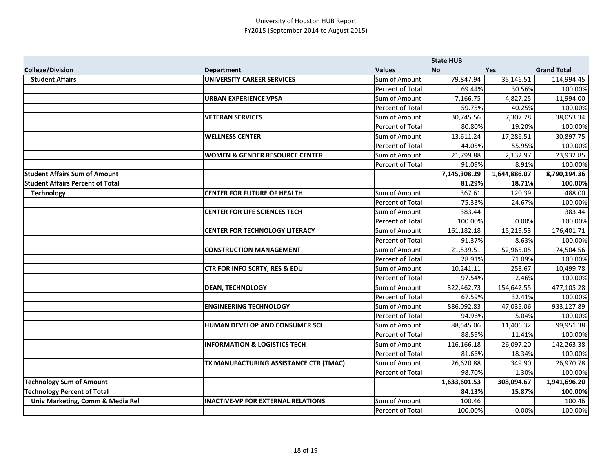|                                         |                                           |                  | <b>State HUB</b> |              |                    |
|-----------------------------------------|-------------------------------------------|------------------|------------------|--------------|--------------------|
| <b>College/Division</b>                 | <b>Department</b>                         | <b>Values</b>    | <b>No</b>        | <b>Yes</b>   | <b>Grand Total</b> |
| <b>Student Affairs</b>                  | <b>UNIVERSITY CAREER SERVICES</b>         | Sum of Amount    | 79,847.94        | 35,146.51    | 114,994.45         |
|                                         |                                           | Percent of Total | 69.44%           | 30.56%       | 100.00%            |
|                                         | <b>URBAN EXPERIENCE VPSA</b>              | Sum of Amount    | 7,166.75         | 4,827.25     | 11,994.00          |
|                                         |                                           | Percent of Total | 59.75%           | 40.25%       | 100.00%            |
|                                         | <b>VETERAN SERVICES</b>                   | Sum of Amount    | 30,745.56        | 7,307.78     | 38,053.34          |
|                                         |                                           | Percent of Total | 80.80%           | 19.20%       | 100.00%            |
|                                         | <b>WELLNESS CENTER</b>                    | Sum of Amount    | 13,611.24        | 17,286.51    | 30,897.75          |
|                                         |                                           | Percent of Total | 44.05%           | 55.95%       | 100.00%            |
|                                         | <b>WOMEN &amp; GENDER RESOURCE CENTER</b> | Sum of Amount    | 21,799.88        | 2,132.97     | 23,932.85          |
|                                         |                                           | Percent of Total | 91.09%           | 8.91%        | 100.00%            |
| <b>Student Affairs Sum of Amount</b>    |                                           |                  | 7,145,308.29     | 1,644,886.07 | 8,790,194.36       |
| <b>Student Affairs Percent of Total</b> |                                           |                  | 81.29%           | 18.71%       | 100.00%            |
| <b>Technology</b>                       | <b>CENTER FOR FUTURE OF HEALTH</b>        | Sum of Amount    | 367.61           | 120.39       | 488.00             |
|                                         |                                           | Percent of Total | 75.33%           | 24.67%       | 100.00%            |
|                                         | <b>CENTER FOR LIFE SCIENCES TECH</b>      | Sum of Amount    | 383.44           |              | 383.44             |
|                                         |                                           | Percent of Total | 100.00%          | 0.00%        | 100.00%            |
|                                         | <b>CENTER FOR TECHNOLOGY LITERACY</b>     | Sum of Amount    | 161,182.18       | 15,219.53    | 176,401.71         |
|                                         |                                           | Percent of Total | 91.37%           | 8.63%        | 100.00%            |
|                                         | <b>CONSTRUCTION MANAGEMENT</b>            | Sum of Amount    | 21,539.51        | 52,965.05    | 74,504.56          |
|                                         |                                           | Percent of Total | 28.91%           | 71.09%       | 100.00%            |
|                                         | CTR FOR INFO SCRTY, RES & EDU             | Sum of Amount    | 10,241.11        | 258.67       | 10,499.78          |
|                                         |                                           | Percent of Total | 97.54%           | 2.46%        | 100.00%            |
|                                         | <b>DEAN, TECHNOLOGY</b>                   | Sum of Amount    | 322,462.73       | 154,642.55   | 477,105.28         |
|                                         |                                           | Percent of Total | 67.59%           | 32.41%       | 100.00%            |
|                                         | <b>ENGINEERING TECHNOLOGY</b>             | Sum of Amount    | 886,092.83       | 47,035.06    | 933,127.89         |
|                                         |                                           | Percent of Total | 94.96%           | 5.04%        | 100.00%            |
|                                         | HUMAN DEVELOP AND CONSUMER SCI            | Sum of Amount    | 88,545.06        | 11,406.32    | 99,951.38          |
|                                         |                                           | Percent of Total | 88.59%           | 11.41%       | 100.00%            |
|                                         | <b>INFORMATION &amp; LOGISTICS TECH</b>   | Sum of Amount    | 116,166.18       | 26,097.20    | 142,263.38         |
|                                         |                                           | Percent of Total | 81.66%           | 18.34%       | 100.00%            |
|                                         | TX MANUFACTURING ASSISTANCE CTR (TMAC)    | Sum of Amount    | 26,620.88        | 349.90       | 26,970.78          |
|                                         |                                           | Percent of Total | 98.70%           | 1.30%        | 100.00%            |
| <b>Technology Sum of Amount</b>         |                                           |                  | 1,633,601.53     | 308,094.67   | 1,941,696.20       |
| <b>Technology Percent of Total</b>      |                                           |                  | 84.13%           | 15.87%       | 100.00%            |
| Univ Marketing, Comm & Media Rel        | <b>INACTIVE-VP FOR EXTERNAL RELATIONS</b> | Sum of Amount    | 100.46           |              | 100.46             |
|                                         |                                           | Percent of Total | 100.00%          | 0.00%        | 100.00%            |